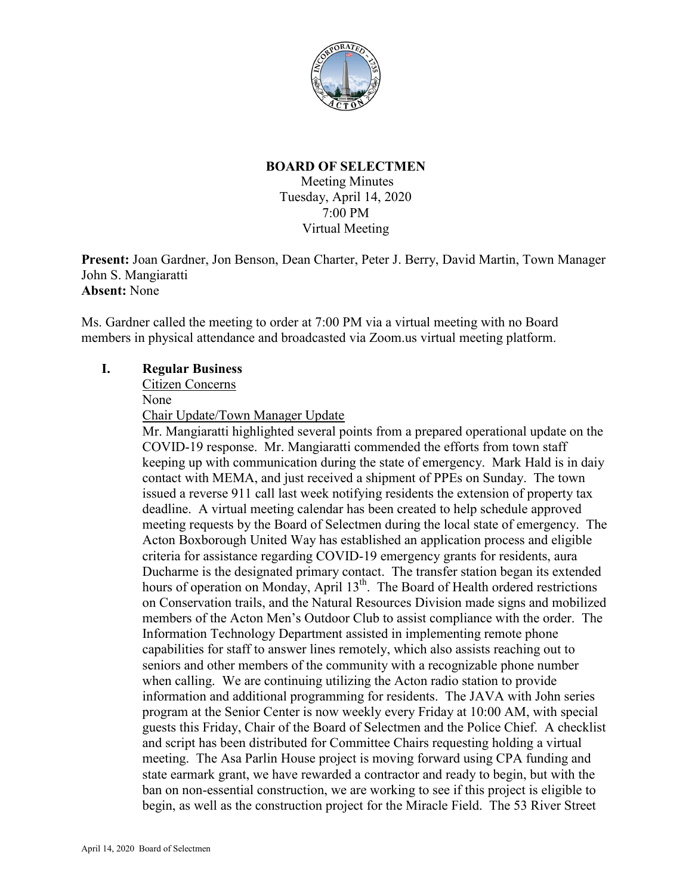

# **BOARD OF SELECTMEN**

Meeting Minutes Tuesday, April 14, 2020 7:00 PM Virtual Meeting

**Present:** Joan Gardner, Jon Benson, Dean Charter, Peter J. Berry, David Martin, Town Manager John S. Mangiaratti **Absent:** None

Ms. Gardner called the meeting to order at 7:00 PM via a virtual meeting with no Board members in physical attendance and broadcasted via Zoom.us virtual meeting platform.

# **I. Regular Business**

Citizen Concerns

None

Chair Update/Town Manager Update

Mr. Mangiaratti highlighted several points from a prepared operational update on the COVID-19 response. Mr. Mangiaratti commended the efforts from town staff keeping up with communication during the state of emergency. Mark Hald is in daiy contact with MEMA, and just received a shipment of PPEs on Sunday. The town issued a reverse 911 call last week notifying residents the extension of property tax deadline. A virtual meeting calendar has been created to help schedule approved meeting requests by the Board of Selectmen during the local state of emergency. The Acton Boxborough United Way has established an application process and eligible criteria for assistance regarding COVID-19 emergency grants for residents, aura Ducharme is the designated primary contact. The transfer station began its extended hours of operation on Monday, April 13<sup>th</sup>. The Board of Health ordered restrictions on Conservation trails, and the Natural Resources Division made signs and mobilized members of the Acton Men's Outdoor Club to assist compliance with the order. The Information Technology Department assisted in implementing remote phone capabilities for staff to answer lines remotely, which also assists reaching out to seniors and other members of the community with a recognizable phone number when calling. We are continuing utilizing the Acton radio station to provide information and additional programming for residents. The JAVA with John series program at the Senior Center is now weekly every Friday at 10:00 AM, with special guests this Friday, Chair of the Board of Selectmen and the Police Chief. A checklist and script has been distributed for Committee Chairs requesting holding a virtual meeting. The Asa Parlin House project is moving forward using CPA funding and state earmark grant, we have rewarded a contractor and ready to begin, but with the ban on non-essential construction, we are working to see if this project is eligible to begin, as well as the construction project for the Miracle Field. The 53 River Street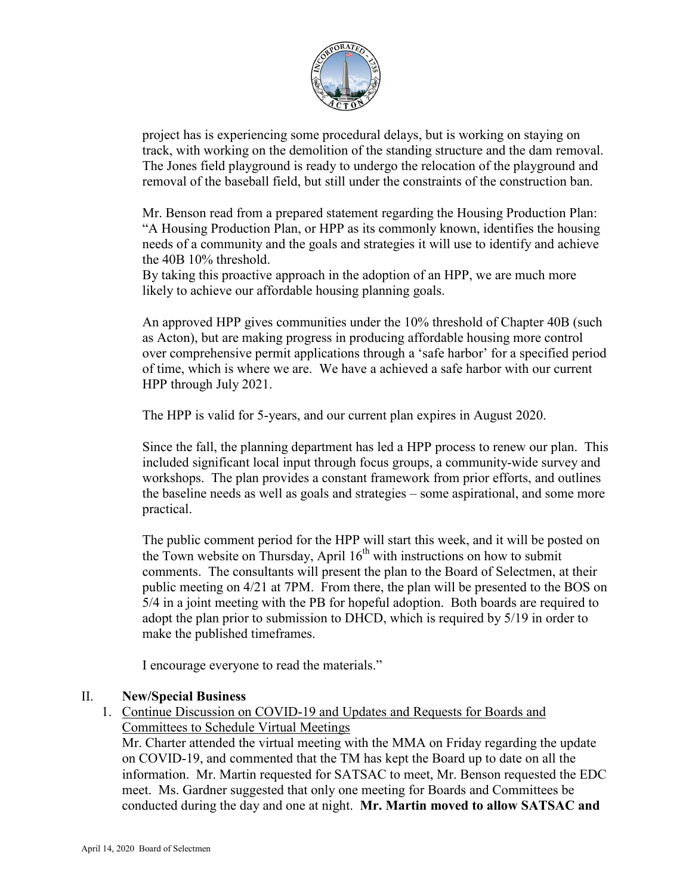

project has is experiencing some procedural delays, but is working on staying on track, with working on the demolition of the standing structure and the dam removal. The Jones field playground is ready to undergo the relocation of the playground and removal of the baseball field, but still under the constraints of the construction ban.

Mr. Benson read from a prepared statement regarding the Housing Production Plan: "A Housing Production Plan, or HPP as its commonly known, identifies the housing needs of a community and the goals and strategies it will use to identify and achieve the 40B 10% threshold.

By taking this proactive approach in the adoption of an HPP, we are much more likely to achieve our affordable housing planning goals.

An approved HPP gives communities under the 10% threshold of Chapter 40B (such as Acton), but are making progress in producing affordable housing more control over comprehensive permit applications through a 'safe harbor' for a specified period of time, which is where we are. We have a achieved a safe harbor with our current HPP through July 2021.

The HPP is valid for 5-years, and our current plan expires in August 2020.

Since the fall, the planning department has led a HPP process to renew our plan. This included significant local input through focus groups, a community-wide survey and workshops. The plan provides a constant framework from prior efforts, and outlines the baseline needs as well as goals and strategies – some aspirational, and some more practical.

The public comment period for the HPP will start this week, and it will be posted on the Town website on Thursday, April  $16<sup>th</sup>$  with instructions on how to submit comments. The consultants will present the plan to the Board of Selectmen, at their public meeting on 4/21 at 7PM. From there, the plan will be presented to the BOS on 5/4 in a joint meeting with the PB for hopeful adoption. Both boards are required to adopt the plan prior to submission to DHCD, which is required by 5/19 in order to make the published timeframes.

I encourage everyone to read the materials."

## II. **New/Special Business**

1. Continue Discussion on COVID-19 and Updates and Requests for Boards and Committees to Schedule Virtual Meetings

Mr. Charter attended the virtual meeting with the MMA on Friday regarding the update on COVID-19, and commented that the TM has kept the Board up to date on all the information. Mr. Martin requested for SATSAC to meet, Mr. Benson requested the EDC meet. Ms. Gardner suggested that only one meeting for Boards and Committees be conducted during the day and one at night. **Mr. Martin moved to allow SATSAC and**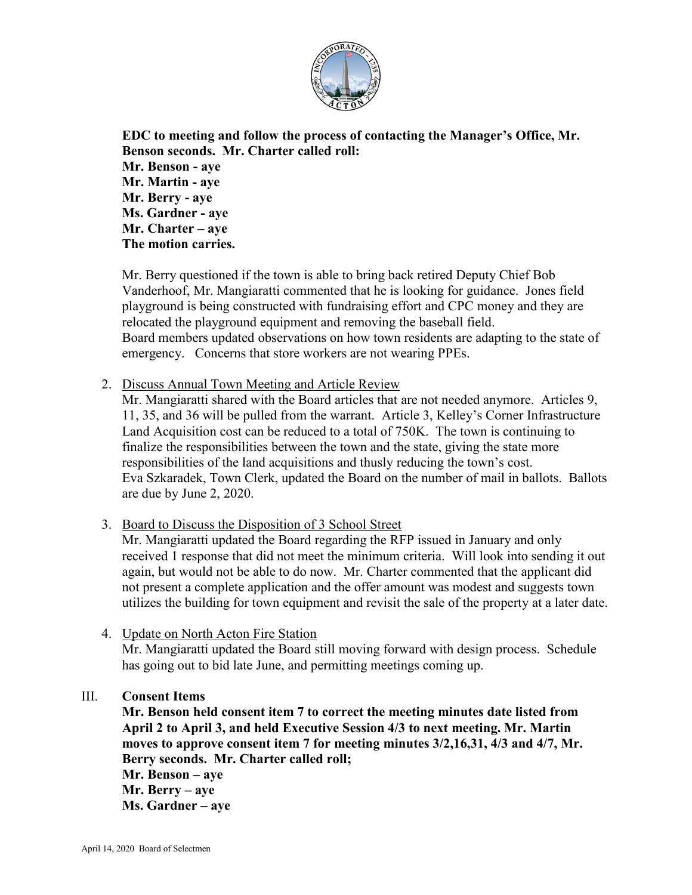

**EDC to meeting and follow the process of contacting the Manager's Office, Mr. Benson seconds. Mr. Charter called roll: Mr. Benson - aye Mr. Martin - aye Mr. Berry - aye Ms. Gardner - aye Mr. Charter – aye The motion carries.**

Mr. Berry questioned if the town is able to bring back retired Deputy Chief Bob Vanderhoof, Mr. Mangiaratti commented that he is looking for guidance. Jones field playground is being constructed with fundraising effort and CPC money and they are relocated the playground equipment and removing the baseball field. Board members updated observations on how town residents are adapting to the state of emergency. Concerns that store workers are not wearing PPEs.

2. Discuss Annual Town Meeting and Article Review

Mr. Mangiaratti shared with the Board articles that are not needed anymore. Articles 9, 11, 35, and 36 will be pulled from the warrant. Article 3, Kelley's Corner Infrastructure Land Acquisition cost can be reduced to a total of 750K. The town is continuing to finalize the responsibilities between the town and the state, giving the state more responsibilities of the land acquisitions and thusly reducing the town's cost. Eva Szkaradek, Town Clerk, updated the Board on the number of mail in ballots. Ballots are due by June 2, 2020.

3. Board to Discuss the Disposition of 3 School Street

Mr. Mangiaratti updated the Board regarding the RFP issued in January and only received 1 response that did not meet the minimum criteria. Will look into sending it out again, but would not be able to do now. Mr. Charter commented that the applicant did not present a complete application and the offer amount was modest and suggests town utilizes the building for town equipment and revisit the sale of the property at a later date.

4. Update on North Acton Fire Station

Mr. Mangiaratti updated the Board still moving forward with design process. Schedule has going out to bid late June, and permitting meetings coming up.

## III. **Consent Items**

**Mr. Benson held consent item 7 to correct the meeting minutes date listed from April 2 to April 3, and held Executive Session 4/3 to next meeting. Mr. Martin moves to approve consent item 7 for meeting minutes 3/2,16,31, 4/3 and 4/7, Mr. Berry seconds. Mr. Charter called roll; Mr. Benson – aye Mr. Berry – aye Ms. Gardner – aye**